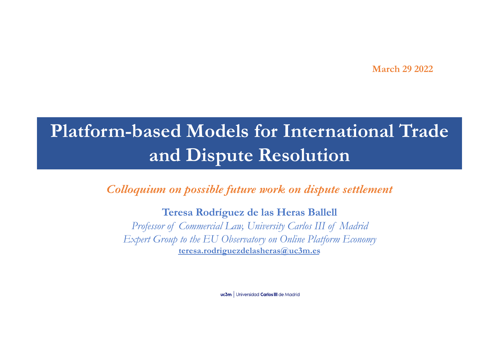**March 29 2022**

# **Platform-based Models for International Trade and Dispute Resolution**

*Colloquium on possible future work on dispute settlement*

**Teresa Rodríguez de las Heras Ballell**

*Professor of Commercial Law, University Carlos III of Madrid Expert Group to the EU Observatory on Online Platform Economy* **teresa.rodriguezdelasheras@uc3m.es**

**uc3m** Universidad Carlos III de Madrid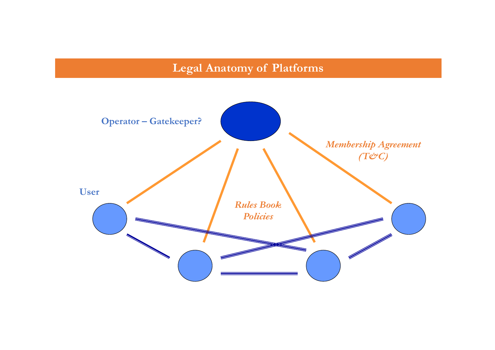# **Legal Anatomy of Platforms**

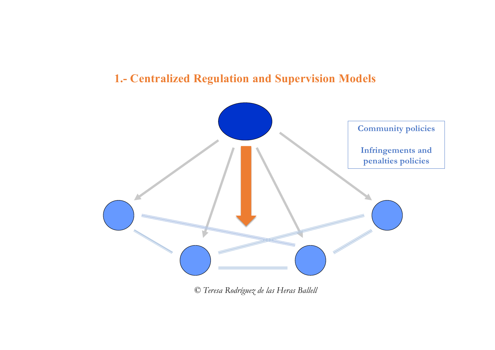# **1.- Centralized Regulation and Supervision Models**



*© Teresa Rodríguez de las Heras Ballell*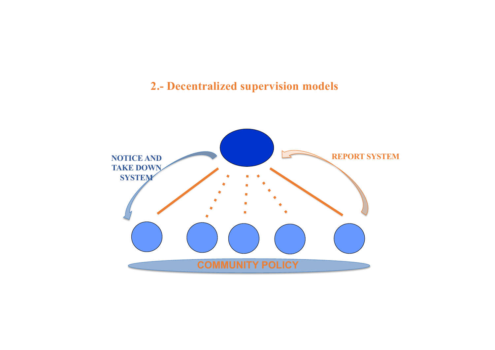# **2.- Decentralized supervision models**

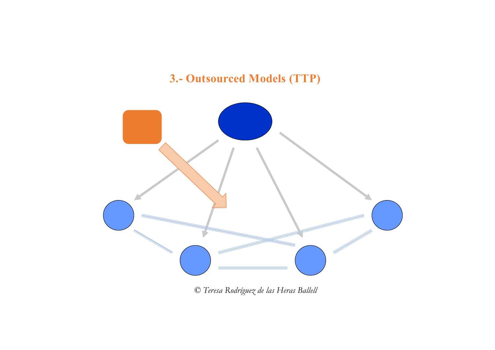# **3.- Outsourced Models (TTP)**



*© Teresa Rodríguez de las Heras Ballell*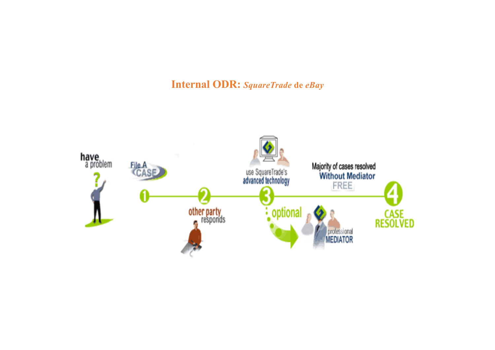## **Internal ODR:** *SquareTrade* **de** *eBay*

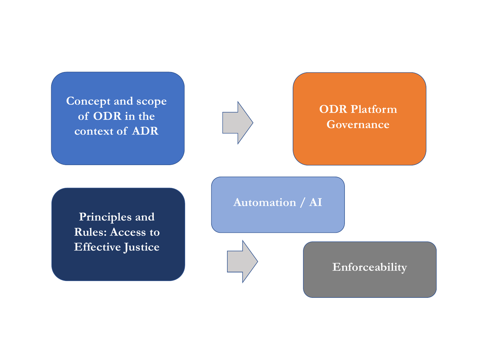**Concept and scope of ODR in the context of ADR**



**ODR Platform Governance**

**Principles and Rules: Access to Effective Justice** **Automation / AI**

**Enforceability**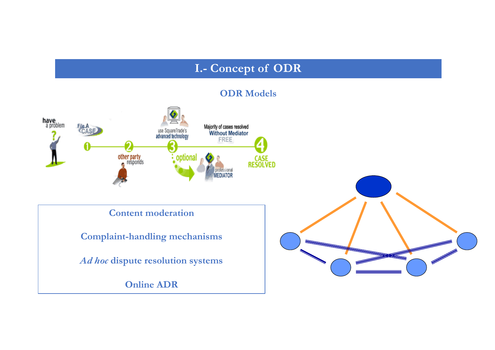# **I.- Concept of ODR**

#### **ODR Models**

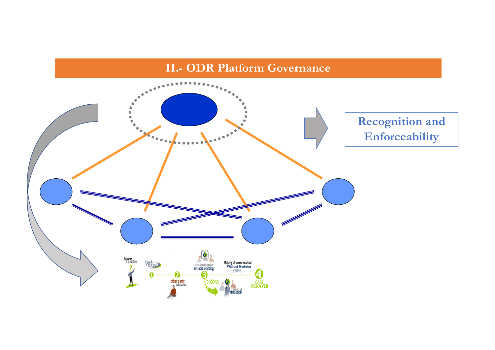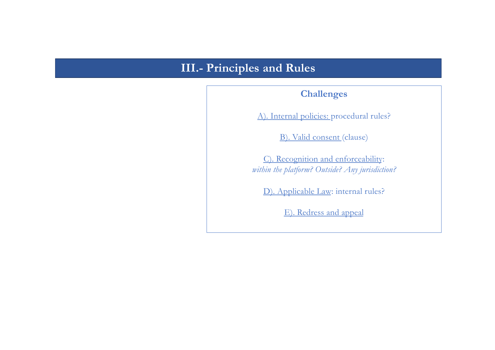# **III.- Principles and Rules**

#### **Challenges**

A). Internal policies: procedural rules?

B). Valid consent (clause)

C). Recognition and enforceability: *within the platform? Outside? Any jurisdiction?*

D). Applicable Law: internal rules?

E). Redress and appeal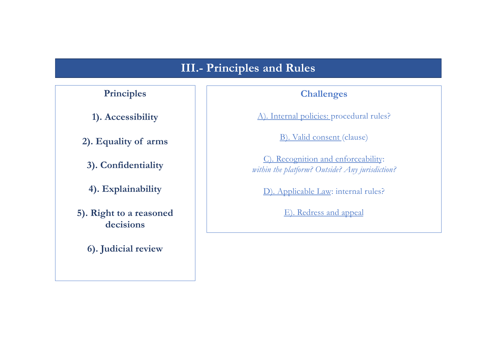# **III.- Principles and Rules**

### **Principles**

**1). Accessibility**

**2). Equality of arms**

**3). Confidentiality**

**4). Explainability**

**5). Right to a reasoned decisions**

**6). Judicial review**

#### **Challenges**

A). Internal policies: procedural rules?

B). Valid consent (clause)

C). Recognition and enforceability: *within the platform? Outside? Any jurisdiction?*

D). Applicable Law: internal rules?

E). Redress and appeal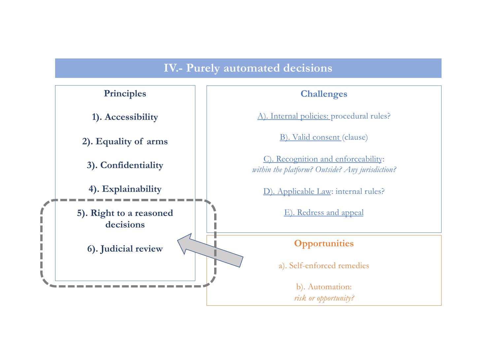# **IV.- Purely automated decisions**

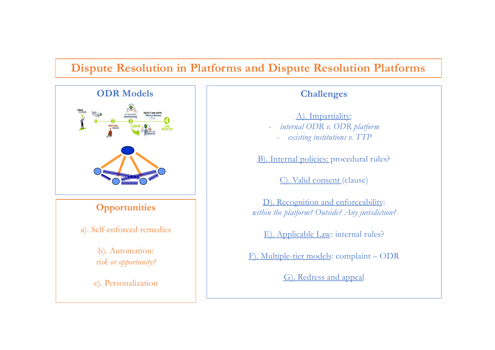# **Dispute Resolution in Platforms and Dispute Resolution Platforms**



A). Impartiality:

- *internal ODR v. ODR platform*

- *existing institutions v. TTP* 

B). Internal policies: procedural rules?

C). Valid consent (clause)

D). Recognition and enforceability: *within the platform? Outside? Any jurisdiction?*

E). Applicable Law: internal rules?

F). Multiple-tier models: complaint – ODR

G). Redress and appeal